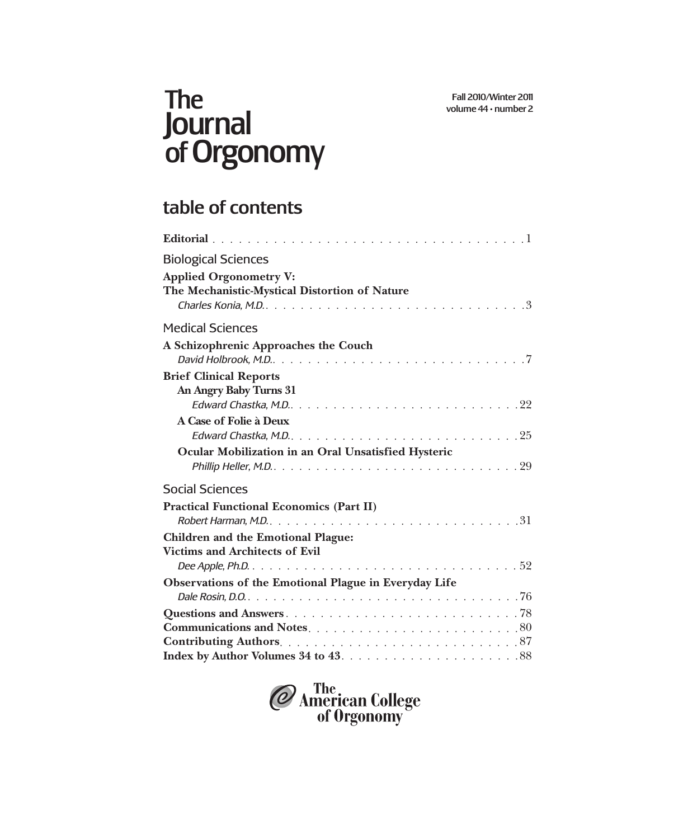## The Journal of Orgonomy

## table of contents

| <b>Biological Sciences</b>                                                                                                                                           |
|----------------------------------------------------------------------------------------------------------------------------------------------------------------------|
| <b>Applied Orgonometry V:</b>                                                                                                                                        |
| The Mechanistic-Mystical Distortion of Nature                                                                                                                        |
|                                                                                                                                                                      |
| <b>Medical Sciences</b>                                                                                                                                              |
| A Schizophrenic Approaches the Couch                                                                                                                                 |
|                                                                                                                                                                      |
| <b>Brief Clinical Reports</b>                                                                                                                                        |
| An Angry Baby Turns 31                                                                                                                                               |
| Edward Chastka, M.D. $\ldots \ldots \ldots \ldots \ldots \ldots \ldots \ldots \ldots \ldots 22$                                                                      |
| A Case of Folie à Deux                                                                                                                                               |
| Edward Chastka, M.D. $\ldots \ldots \ldots \ldots \ldots \ldots \ldots \ldots \ldots \ldots 25$                                                                      |
| Ocular Mobilization in an Oral Unsatisfied Hysteric<br>Phillip Heller, M.D. $\dots \dots \dots \dots \dots \dots \dots \dots \dots \dots \dots \dots \dots \cdot 29$ |
| <b>Social Sciences</b>                                                                                                                                               |
| <b>Practical Functional Economics (Part II)</b>                                                                                                                      |
| Robert Harman, M.D. $\ldots \ldots \ldots \ldots \ldots \ldots \ldots \ldots \ldots \ldots \ldots 31$                                                                |
| <b>Children and the Emotional Plague:</b>                                                                                                                            |
| <b>Victims and Architects of Evil</b>                                                                                                                                |
|                                                                                                                                                                      |
| Observations of the Emotional Plague in Everyday Life                                                                                                                |
|                                                                                                                                                                      |
|                                                                                                                                                                      |
|                                                                                                                                                                      |
|                                                                                                                                                                      |
|                                                                                                                                                                      |

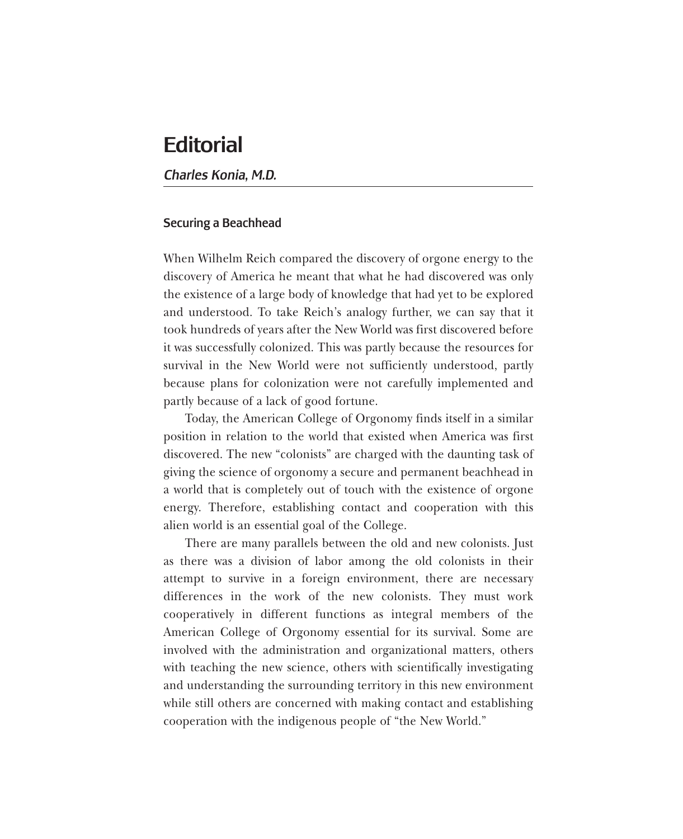## **Editorial**

*Charles Konia, M.D.*

## Securing a Beachhead

When Wilhelm Reich compared the discovery of orgone energy to the discovery of America he meant that what he had discovered was only the existence of a large body of knowledge that had yet to be explored and understood. To take Reich's analogy further, we can say that it took hundreds of years after the New World was first discovered before it was successfully colonized. This was partly because the resources for survival in the New World were not sufficiently understood, partly because plans for colonization were not carefully implemented and partly because of a lack of good fortune.

Today, the American College of Orgonomy finds itself in a similar position in relation to the world that existed when America was first discovered. The new "colonists" are charged with the daunting task of giving the science of orgonomy a secure and permanent beachhead in a world that is completely out of touch with the existence of orgone energy. Therefore, establishing contact and cooperation with this alien world is an essential goal of the College.

There are many parallels between the old and new colonists. Just as there was a division of labor among the old colonists in their attempt to survive in a foreign environment, there are necessary differences in the work of the new colonists. They must work cooperatively in different functions as integral members of the American College of Orgonomy essential for its survival. Some are involved with the administration and organizational matters, others with teaching the new science, others with scientifically investigating and understanding the surrounding territory in this new environment while still others are concerned with making contact and establishing cooperation with the indigenous people of "the New World."